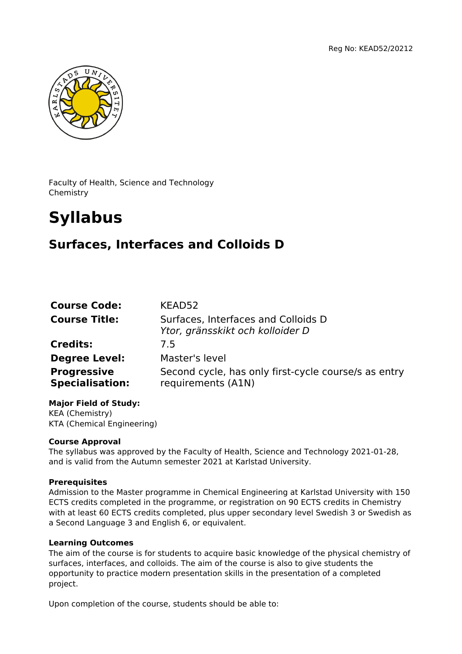

Faculty of Health, Science and Technology Chemistry

# **Syllabus**

## **Surfaces, Interfaces and Colloids D**

| <b>Course Code:</b>                          | KEAD52                                                                     |
|----------------------------------------------|----------------------------------------------------------------------------|
| <b>Course Title:</b>                         | Surfaces, Interfaces and Colloids D<br>Ytor, gränsskikt och kolloider D    |
| <b>Credits:</b>                              | 7.5                                                                        |
| <b>Degree Level:</b>                         | Master's level                                                             |
| <b>Progressive</b><br><b>Specialisation:</b> | Second cycle, has only first-cycle course/s as entry<br>requirements (A1N) |

**Major Field of Study:** KEA (Chemistry) KTA (Chemical Engineering)

### **Course Approval**

The syllabus was approved by the Faculty of Health, Science and Technology 2021-01-28, and is valid from the Autumn semester 2021 at Karlstad University.

#### **Prerequisites**

Admission to the Master programme in Chemical Engineering at Karlstad University with 150 ECTS credits completed in the programme, or registration on 90 ECTS credits in Chemistry with at least 60 ECTS credits completed, plus upper secondary level Swedish 3 or Swedish as a Second Language 3 and English 6, or equivalent.

#### **Learning Outcomes**

The aim of the course is for students to acquire basic knowledge of the physical chemistry of surfaces, interfaces, and colloids. The aim of the course is also to give students the opportunity to practice modern presentation skills in the presentation of a completed project.

Upon completion of the course, students should be able to: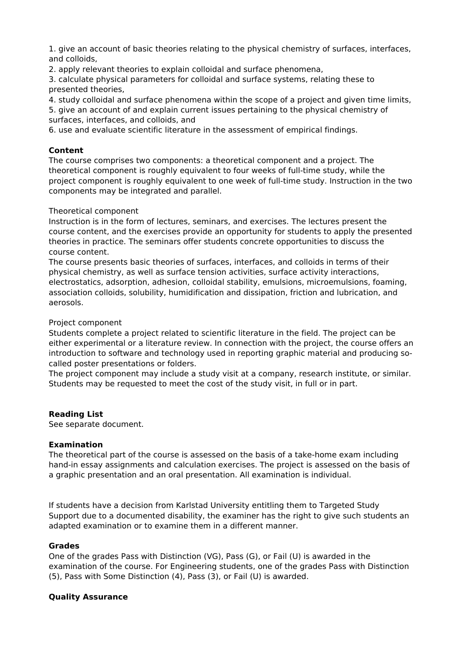1. give an account of basic theories relating to the physical chemistry of surfaces, interfaces, and colloids,

2. apply relevant theories to explain colloidal and surface phenomena,

3. calculate physical parameters for colloidal and surface systems, relating these to presented theories,

4. study colloidal and surface phenomena within the scope of a project and given time limits,

5. give an account of and explain current issues pertaining to the physical chemistry of surfaces, interfaces, and colloids, and

6. use and evaluate scientific literature in the assessment of empirical findings.

#### **Content**

The course comprises two components: a theoretical component and a project. The theoretical component is roughly equivalent to four weeks of full-time study, while the project component is roughly equivalent to one week of full-time study. Instruction in the two components may be integrated and parallel.

#### Theoretical component

Instruction is in the form of lectures, seminars, and exercises. The lectures present the course content, and the exercises provide an opportunity for students to apply the presented theories in practice. The seminars offer students concrete opportunities to discuss the course content.

The course presents basic theories of surfaces, interfaces, and colloids in terms of their physical chemistry, as well as surface tension activities, surface activity interactions, electrostatics, adsorption, adhesion, colloidal stability, emulsions, microemulsions, foaming, association colloids, solubility, humidification and dissipation, friction and lubrication, and aerosols.

#### Project component

Students complete a project related to scientific literature in the field. The project can be either experimental or a literature review. In connection with the project, the course offers an introduction to software and technology used in reporting graphic material and producing socalled poster presentations or folders.

The project component may include a study visit at a company, research institute, or similar. Students may be requested to meet the cost of the study visit, in full or in part.

#### **Reading List**

See separate document.

#### **Examination**

The theoretical part of the course is assessed on the basis of a take-home exam including hand-in essay assignments and calculation exercises. The project is assessed on the basis of a graphic presentation and an oral presentation. All examination is individual.

If students have a decision from Karlstad University entitling them to Targeted Study Support due to a documented disability, the examiner has the right to give such students an adapted examination or to examine them in a different manner.

#### **Grades**

One of the grades Pass with Distinction (VG), Pass (G), or Fail (U) is awarded in the examination of the course. For Engineering students, one of the grades Pass with Distinction (5), Pass with Some Distinction (4), Pass (3), or Fail (U) is awarded.

#### **Quality Assurance**